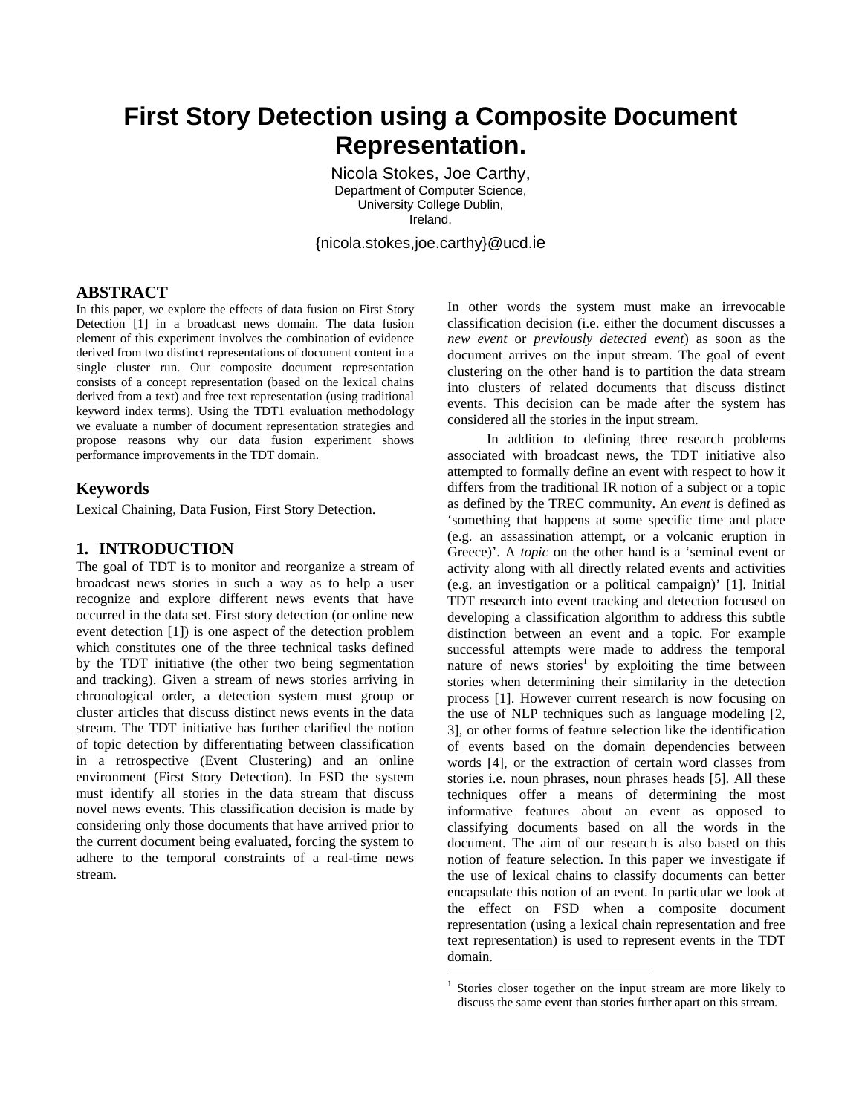# **First Story Detection using a Composite Document Representation.**

Nicola Stokes, Joe Carthy, Department of Computer Science, University College Dublin, Ireland.

{nicola.stokes,joe.carthy}@ucd.ie

#### **ABSTRACT**

In this paper, we explore the effects of data fusion on First Story Detection [1] in a broadcast news domain. The data fusion element of this experiment involves the combination of evidence derived from two distinct representations of document content in a single cluster run. Our composite document representation consists of a concept representation (based on the lexical chains derived from a text) and free text representation (using traditional keyword index terms). Using the TDT1 evaluation methodology we evaluate a number of document representation strategies and propose reasons why our data fusion experiment shows performance improvements in the TDT domain.

#### **Keywords**

Lexical Chaining, Data Fusion, First Story Detection.

#### **1. INTRODUCTION**

The goal of TDT is to monitor and reorganize a stream of broadcast news stories in such a way as to help a user recognize and explore different news events that have occurred in the data set. First story detection (or online new event detection [1]) is one aspect of the detection problem which constitutes one of the three technical tasks defined by the TDT initiative (the other two being segmentation and tracking). Given a stream of news stories arriving in chronological order, a detection system must group or cluster articles that discuss distinct news events in the data stream. The TDT initiative has further clarified the notion of topic detection by differentiating between classification in a retrospective (Event Clustering) and an online environment (First Story Detection). In FSD the system must identify all stories in the data stream that discuss novel news events. This classification decision is made by considering only those documents that have arrived prior to the current document being evaluated, forcing the system to adhere to the temporal constraints of a real-time news stream.

In other words the system must make an irrevocable classification decision (i.e. either the document discusses a *new event* or *previously detected event*) as soon as the document arrives on the input stream. The goal of event clustering on the other hand is to partition the data stream into clusters of related documents that discuss distinct events. This decision can be made after the system has considered all the stories in the input stream.

In addition to defining three research problems associated with broadcast news, the TDT initiative also attempted to formally define an event with respect to how it differs from the traditional IR notion of a subject or a topic as defined by the TREC community. An *event* is defined as 'something that happens at some specific time and place (e.g. an assassination attempt, or a volcanic eruption in Greece)'. A *topic* on the other hand is a 'seminal event or activity along with all directly related events and activities (e.g. an investigation or a political campaign)' [1]. Initial TDT research into event tracking and detection focused on developing a classification algorithm to address this subtle distinction between an event and a topic. For example successful attempts were made to address the temporal nature of news stories<sup>1</sup> by exploiting the time between stories when determining their similarity in the detection process [1]. However current research is now focusing on the use of NLP techniques such as language modeling [2, 3], or other forms of feature selection like the identification of events based on the domain dependencies between words [4], or the extraction of certain word classes from stories i.e. noun phrases, noun phrases heads [5]. All these techniques offer a means of determining the most informative features about an event as opposed to classifying documents based on all the words in the document. The aim of our research is also based on this notion of feature selection. In this paper we investigate if the use of lexical chains to classify documents can better encapsulate this notion of an event. In particular we look at the effect on FSD when a composite document representation (using a lexical chain representation and free text representation) is used to represent events in the TDT domain.

 1 Stories closer together on the input stream are more likely to discuss the same event than stories further apart on this stream.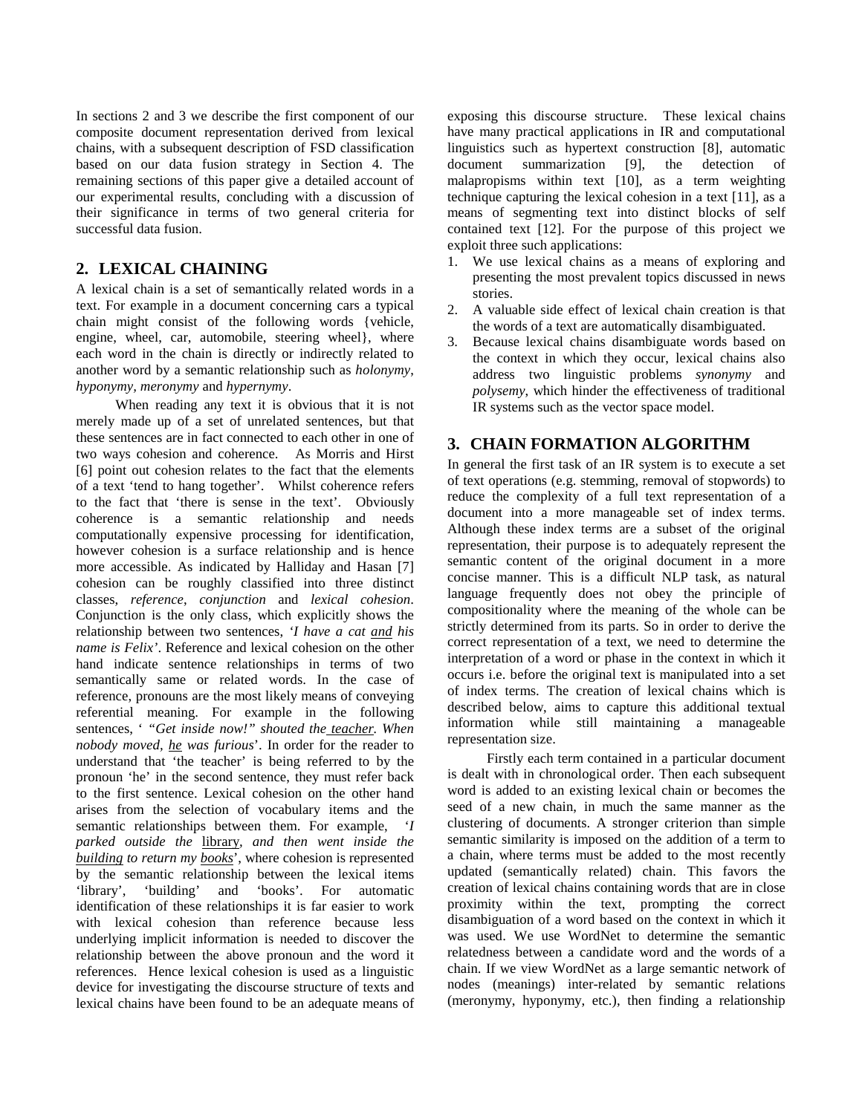In sections 2 and 3 we describe the first component of our composite document representation derived from lexical chains, with a subsequent description of FSD classification based on our data fusion strategy in Section 4. The remaining sections of this paper give a detailed account of our experimental results, concluding with a discussion of their significance in terms of two general criteria for successful data fusion.

## **2. LEXICAL CHAINING**

A lexical chain is a set of semantically related words in a text. For example in a document concerning cars a typical chain might consist of the following words {vehicle, engine, wheel, car, automobile, steering wheel}, where each word in the chain is directly or indirectly related to another word by a semantic relationship such as *holonymy*, *hyponymy, meronymy* and *hypernymy*.

When reading any text it is obvious that it is not merely made up of a set of unrelated sentences, but that these sentences are in fact connected to each other in one of two ways cohesion and coherence. As Morris and Hirst [6] point out cohesion relates to the fact that the elements of a text 'tend to hang together'. Whilst coherence refers to the fact that 'there is sense in the text'. Obviously coherence is a semantic relationship and needs computationally expensive processing for identification, however cohesion is a surface relationship and is hence more accessible. As indicated by Halliday and Hasan [7] cohesion can be roughly classified into three distinct classes, *reference*, *conjunction* and *lexical cohesion*. Conjunction is the only class, which explicitly shows the relationship between two sentences, *'I have a cat and his name is Felix'*. Reference and lexical cohesion on the other hand indicate sentence relationships in terms of two semantically same or related words. In the case of reference, pronouns are the most likely means of conveying referential meaning. For example in the following sentences, ' *"Get inside now!" shouted the teacher. When nobody moved, he was furious*'. In order for the reader to understand that 'the teacher' is being referred to by the pronoun 'he' in the second sentence, they must refer back to the first sentence. Lexical cohesion on the other hand arises from the selection of vocabulary items and the semantic relationships between them. For example, '*I parked outside the* library*, and then went inside the building to return my books*', where cohesion is represented by the semantic relationship between the lexical items 'library', 'building' and 'books'. For automatic identification of these relationships it is far easier to work with lexical cohesion than reference because less underlying implicit information is needed to discover the relationship between the above pronoun and the word it references. Hence lexical cohesion is used as a linguistic device for investigating the discourse structure of texts and lexical chains have been found to be an adequate means of exposing this discourse structure. These lexical chains have many practical applications in IR and computational linguistics such as hypertext construction [8], automatic document summarization [9], the detection of malapropisms within text [10], as a term weighting technique capturing the lexical cohesion in a text [11], as a means of segmenting text into distinct blocks of self contained text [12]. For the purpose of this project we exploit three such applications:

- 1. We use lexical chains as a means of exploring and presenting the most prevalent topics discussed in news stories.
- 2. A valuable side effect of lexical chain creation is that the words of a text are automatically disambiguated.
- 3. Because lexical chains disambiguate words based on the context in which they occur, lexical chains also address two linguistic problems *synonymy* and *polysemy*, which hinder the effectiveness of traditional IR systems such as the vector space model.

## **3. CHAIN FORMATION ALGORITHM**

In general the first task of an IR system is to execute a set of text operations (e.g. stemming, removal of stopwords) to reduce the complexity of a full text representation of a document into a more manageable set of index terms. Although these index terms are a subset of the original representation, their purpose is to adequately represent the semantic content of the original document in a more concise manner. This is a difficult NLP task, as natural language frequently does not obey the principle of compositionality where the meaning of the whole can be strictly determined from its parts. So in order to derive the correct representation of a text, we need to determine the interpretation of a word or phase in the context in which it occurs i.e. before the original text is manipulated into a set of index terms. The creation of lexical chains which is described below, aims to capture this additional textual information while still maintaining a manageable representation size.

Firstly each term contained in a particular document is dealt with in chronological order. Then each subsequent word is added to an existing lexical chain or becomes the seed of a new chain, in much the same manner as the clustering of documents. A stronger criterion than simple semantic similarity is imposed on the addition of a term to a chain, where terms must be added to the most recently updated (semantically related) chain. This favors the creation of lexical chains containing words that are in close proximity within the text, prompting the correct disambiguation of a word based on the context in which it was used. We use WordNet to determine the semantic relatedness between a candidate word and the words of a chain. If we view WordNet as a large semantic network of nodes (meanings) inter-related by semantic relations (meronymy, hyponymy, etc.), then finding a relationship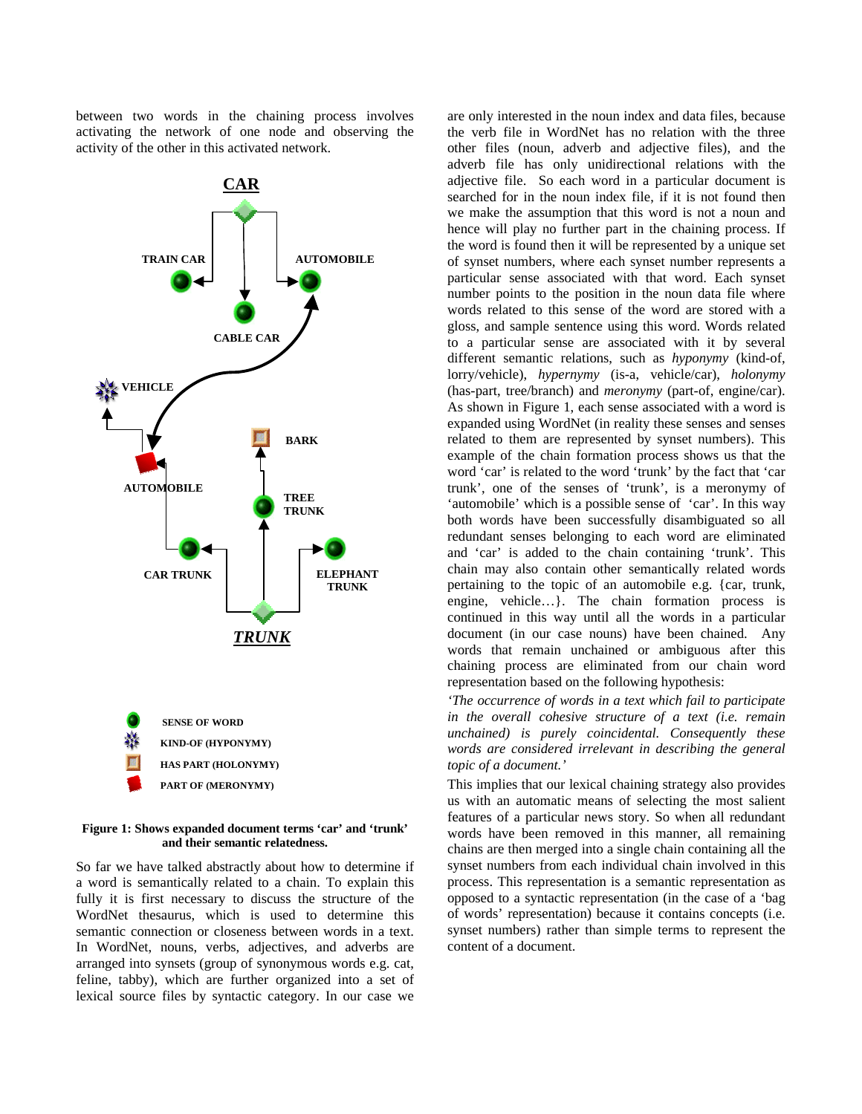between two words in the chaining process involves activating the network of one node and observing the activity of the other in this activated network.



**Figure 1: Shows expanded document terms 'car' and 'trunk' and their semantic relatedness.** 

So far we have talked abstractly about how to determine if a word is semantically related to a chain. To explain this fully it is first necessary to discuss the structure of the WordNet thesaurus, which is used to determine this semantic connection or closeness between words in a text. In WordNet, nouns, verbs, adjectives, and adverbs are arranged into synsets (group of synonymous words e.g. cat, feline, tabby), which are further organized into a set of lexical source files by syntactic category. In our case we

are only interested in the noun index and data files, because the verb file in WordNet has no relation with the three other files (noun, adverb and adjective files), and the adverb file has only unidirectional relations with the adjective file. So each word in a particular document is searched for in the noun index file, if it is not found then we make the assumption that this word is not a noun and hence will play no further part in the chaining process. If the word is found then it will be represented by a unique set of synset numbers, where each synset number represents a particular sense associated with that word. Each synset number points to the position in the noun data file where words related to this sense of the word are stored with a gloss, and sample sentence using this word. Words related to a particular sense are associated with it by several different semantic relations, such as *hyponymy* (kind-of, lorry/vehicle), *hypernymy* (is-a, vehicle/car), *holonymy* (has-part, tree/branch) and *meronymy* (part-of, engine/car). As shown in Figure 1, each sense associated with a word is expanded using WordNet (in reality these senses and senses related to them are represented by synset numbers). This example of the chain formation process shows us that the word 'car' is related to the word 'trunk' by the fact that 'car trunk', one of the senses of 'trunk', is a meronymy of 'automobile' which is a possible sense of 'car'. In this way both words have been successfully disambiguated so all redundant senses belonging to each word are eliminated and 'car' is added to the chain containing 'trunk'. This chain may also contain other semantically related words pertaining to the topic of an automobile e.g. {car, trunk, engine, vehicle…}. The chain formation process is continued in this way until all the words in a particular document (in our case nouns) have been chained. Any words that remain unchained or ambiguous after this chaining process are eliminated from our chain word representation based on the following hypothesis:

*'The occurrence of words in a text which fail to participate in the overall cohesive structure of a text (i.e. remain unchained) is purely coincidental. Consequently these words are considered irrelevant in describing the general topic of a document.'*

This implies that our lexical chaining strategy also provides us with an automatic means of selecting the most salient features of a particular news story. So when all redundant words have been removed in this manner, all remaining chains are then merged into a single chain containing all the synset numbers from each individual chain involved in this process. This representation is a semantic representation as opposed to a syntactic representation (in the case of a 'bag of words' representation) because it contains concepts (i.e. synset numbers) rather than simple terms to represent the content of a document.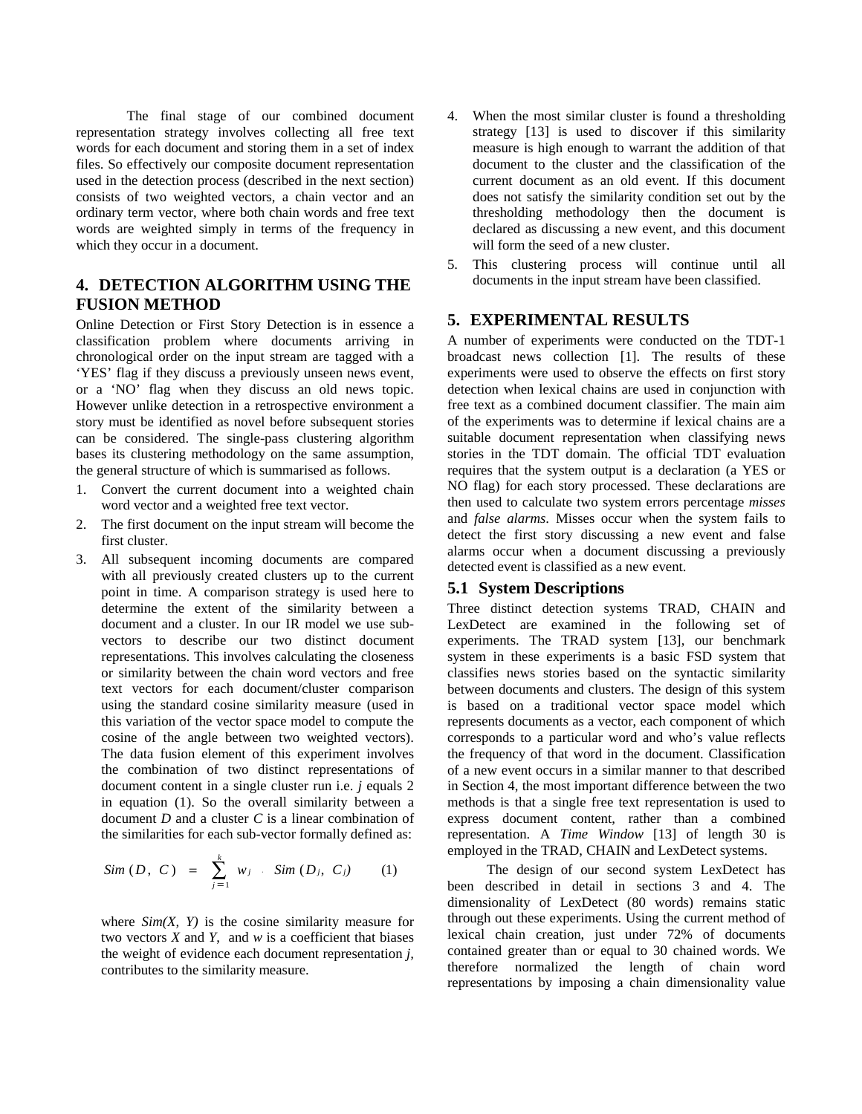The final stage of our combined document representation strategy involves collecting all free text words for each document and storing them in a set of index files. So effectively our composite document representation used in the detection process (described in the next section) consists of two weighted vectors, a chain vector and an ordinary term vector, where both chain words and free text words are weighted simply in terms of the frequency in which they occur in a document.

# **4. DETECTION ALGORITHM USING THE FUSION METHOD**

Online Detection or First Story Detection is in essence a classification problem where documents arriving in chronological order on the input stream are tagged with a 'YES' flag if they discuss a previously unseen news event, or a 'NO' flag when they discuss an old news topic. However unlike detection in a retrospective environment a story must be identified as novel before subsequent stories can be considered. The single-pass clustering algorithm bases its clustering methodology on the same assumption, the general structure of which is summarised as follows.

- 1. Convert the current document into a weighted chain word vector and a weighted free text vector.
- 2. The first document on the input stream will become the first cluster.
- 3. All subsequent incoming documents are compared with all previously created clusters up to the current point in time. A comparison strategy is used here to determine the extent of the similarity between a document and a cluster. In our IR model we use subvectors to describe our two distinct document representations. This involves calculating the closeness or similarity between the chain word vectors and free text vectors for each document/cluster comparison using the standard cosine similarity measure (used in this variation of the vector space model to compute the cosine of the angle between two weighted vectors). The data fusion element of this experiment involves the combination of two distinct representations of document content in a single cluster run i.e. *j* equals 2 in equation (1). So the overall similarity between a document *D* and a cluster *C* is a linear combination of the similarities for each sub-vector formally defined as:

$$
Sim (D, C) = \sum_{j=1}^{k} w_j \cdot Sim (D_j, C_j) \qquad (1)
$$

where  $Sim(X, Y)$  is the cosine similarity measure for two vectors *X* and *Y*, and *w* is a coefficient that biases the weight of evidence each document representation *j,* contributes to the similarity measure.

- 4. When the most similar cluster is found a thresholding strategy [13] is used to discover if this similarity measure is high enough to warrant the addition of that document to the cluster and the classification of the current document as an old event. If this document does not satisfy the similarity condition set out by the thresholding methodology then the document is declared as discussing a new event, and this document will form the seed of a new cluster.
- 5. This clustering process will continue until all documents in the input stream have been classified.

## **5. EXPERIMENTAL RESULTS**

A number of experiments were conducted on the TDT-1 broadcast news collection [1]. The results of these experiments were used to observe the effects on first story detection when lexical chains are used in conjunction with free text as a combined document classifier. The main aim of the experiments was to determine if lexical chains are a suitable document representation when classifying news stories in the TDT domain. The official TDT evaluation requires that the system output is a declaration (a YES or NO flag) for each story processed. These declarations are then used to calculate two system errors percentage *misses* and *false alarms*. Misses occur when the system fails to detect the first story discussing a new event and false alarms occur when a document discussing a previously detected event is classified as a new event.

## **5.1 System Descriptions**

Three distinct detection systems TRAD, CHAIN and LexDetect are examined in the following set of experiments. The TRAD system [13], our benchmark system in these experiments is a basic FSD system that classifies news stories based on the syntactic similarity between documents and clusters. The design of this system is based on a traditional vector space model which represents documents as a vector, each component of which corresponds to a particular word and who's value reflects the frequency of that word in the document. Classification of a new event occurs in a similar manner to that described in Section 4, the most important difference between the two methods is that a single free text representation is used to express document content, rather than a combined representation. A *Time Window* [13] of length 30 is employed in the TRAD, CHAIN and LexDetect systems.

The design of our second system LexDetect has been described in detail in sections 3 and 4. The dimensionality of LexDetect (80 words) remains static through out these experiments. Using the current method of lexical chain creation, just under 72% of documents contained greater than or equal to 30 chained words. We therefore normalized the length of chain word representations by imposing a chain dimensionality value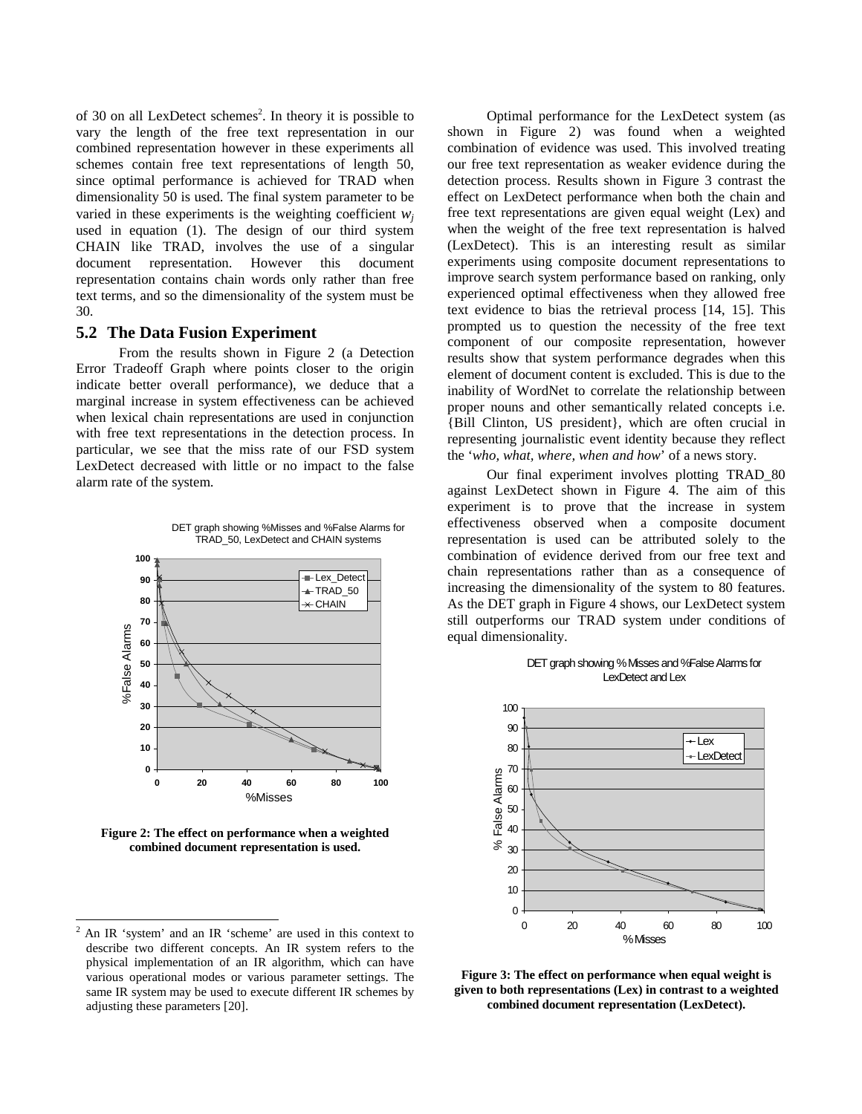of 30 on all LexDetect schemes<sup>2</sup>. In theory it is possible to vary the length of the free text representation in our combined representation however in these experiments all schemes contain free text representations of length 50, since optimal performance is achieved for TRAD when dimensionality 50 is used. The final system parameter to be varied in these experiments is the weighting coefficient  $w_i$ used in equation (1). The design of our third system CHAIN like TRAD, involves the use of a singular document representation. However this document representation contains chain words only rather than free text terms, and so the dimensionality of the system must be 30.

#### **5.2 The Data Fusion Experiment**

 From the results shown in Figure 2 (a Detection Error Tradeoff Graph where points closer to the origin indicate better overall performance), we deduce that a marginal increase in system effectiveness can be achieved when lexical chain representations are used in conjunction with free text representations in the detection process. In particular, we see that the miss rate of our FSD system LexDetect decreased with little or no impact to the false alarm rate of the system.



**Figure 2: The effect on performance when a weighted combined document representation is used.** 

 $\overline{a}$ 

Optimal performance for the LexDetect system (as shown in Figure 2) was found when a weighted combination of evidence was used. This involved treating our free text representation as weaker evidence during the detection process. Results shown in Figure 3 contrast the effect on LexDetect performance when both the chain and free text representations are given equal weight (Lex) and when the weight of the free text representation is halved (LexDetect). This is an interesting result as similar experiments using composite document representations to improve search system performance based on ranking, only experienced optimal effectiveness when they allowed free text evidence to bias the retrieval process [14, 15]. This prompted us to question the necessity of the free text component of our composite representation, however results show that system performance degrades when this element of document content is excluded. This is due to the inability of WordNet to correlate the relationship between proper nouns and other semantically related concepts i.e. {Bill Clinton, US president}, which are often crucial in representing journalistic event identity because they reflect the '*who, what, where, when and how*' of a news story.

Our final experiment involves plotting TRAD\_80 against LexDetect shown in Figure 4. The aim of this experiment is to prove that the increase in system effectiveness observed when a composite document representation is used can be attributed solely to the combination of evidence derived from our free text and chain representations rather than as a consequence of increasing the dimensionality of the system to 80 features. As the DET graph in Figure 4 shows, our LexDetect system still outperforms our TRAD system under conditions of equal dimensionality.

DET graph showing % Misses and %False Alarms for LexDetect and Lex



**Figure 3: The effect on performance when equal weight is given to both representations (Lex) in contrast to a weighted combined document representation (LexDetect).** 

<sup>2</sup> An IR 'system' and an IR 'scheme' are used in this context to describe two different concepts. An IR system refers to the physical implementation of an IR algorithm, which can have various operational modes or various parameter settings. The same IR system may be used to execute different IR schemes by adjusting these parameters [20].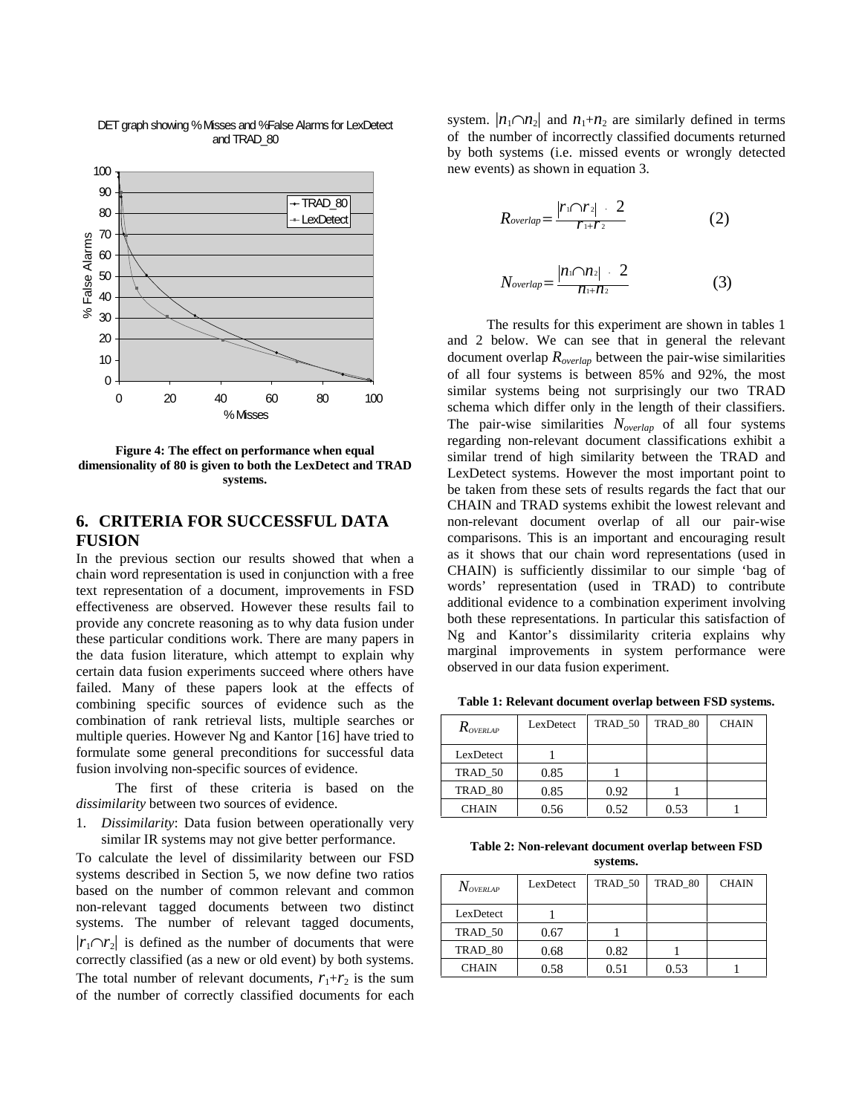

DET graph showing % Misses and %False Alarms for LexDetect and TRAD\_80

**Figure 4: The effect on performance when equal dimensionality of 80 is given to both the LexDetect and TRAD systems.** 

## **6. CRITERIA FOR SUCCESSFUL DATA FUSION**

In the previous section our results showed that when a chain word representation is used in conjunction with a free text representation of a document, improvements in FSD effectiveness are observed. However these results fail to provide any concrete reasoning as to why data fusion under these particular conditions work. There are many papers in the data fusion literature, which attempt to explain why certain data fusion experiments succeed where others have failed. Many of these papers look at the effects of combining specific sources of evidence such as the combination of rank retrieval lists, multiple searches or multiple queries. However Ng and Kantor [16] have tried to formulate some general preconditions for successful data fusion involving non-specific sources of evidence.

The first of these criteria is based on the *dissimilarity* between two sources of evidence.

1. *Dissimilarity*: Data fusion between operationally very similar IR systems may not give better performance.

To calculate the level of dissimilarity between our FSD systems described in Section 5, we now define two ratios based on the number of common relevant and common non-relevant tagged documents between two distinct systems. The number of relevant tagged documents,  $|r_1 \cap r_2|$  is defined as the number of documents that were correctly classified (as a new or old event) by both systems. The total number of relevant documents,  $r_1+r_2$  is the sum of the number of correctly classified documents for each system.  $|n_1 \cap n_2|$  and  $n_1+n_2$  are similarly defined in terms of the number of incorrectly classified documents returned by both systems (i.e. missed events or wrongly detected new events) as shown in equation 3.

$$
R_{\text{overlap}} = \frac{|r_1 \cap r_2| \cdot 2}{r_1 + r_2} \tag{2}
$$

$$
N_{\text{overlap}} = \frac{|n_1 \cap n_2| \cdot 2}{n_1 + n_2} \tag{3}
$$

The results for this experiment are shown in tables 1 and 2 below. We can see that in general the relevant document overlap *Roverlap* between the pair-wise similarities of all four systems is between 85% and 92%, the most similar systems being not surprisingly our two TRAD schema which differ only in the length of their classifiers. The pair-wise similarities *Noverlap* of all four systems regarding non-relevant document classifications exhibit a similar trend of high similarity between the TRAD and LexDetect systems. However the most important point to be taken from these sets of results regards the fact that our CHAIN and TRAD systems exhibit the lowest relevant and non-relevant document overlap of all our pair-wise comparisons. This is an important and encouraging result as it shows that our chain word representations (used in CHAIN) is sufficiently dissimilar to our simple 'bag of words' representation (used in TRAD) to contribute additional evidence to a combination experiment involving both these representations. In particular this satisfaction of Ng and Kantor's dissimilarity criteria explains why marginal improvements in system performance were observed in our data fusion experiment.

**Table 1: Relevant document overlap between FSD systems.** 

| $R_{\text{overmap}}$ | LexDetect | TRAD 50 | TRAD 80 | <b>CHAIN</b> |
|----------------------|-----------|---------|---------|--------------|
| LexDetect            |           |         |         |              |
| TRAD 50              | 0.85      |         |         |              |
| TRAD 80              | 0.85      | 0.92    |         |              |
| <b>CHAIN</b>         | 0.56      | 0.52    | 0.53    |              |

**Table 2: Non-relevant document overlap between FSD systems.** 

| $N_{over\tiny{OVERIAP}}$ | LexDetect | TRAD 50 | TRAD 80 | <b>CHAIN</b> |
|--------------------------|-----------|---------|---------|--------------|
| LexDetect                |           |         |         |              |
| TRAD 50                  | 0.67      |         |         |              |
| TRAD 80                  | 0.68      | 0.82    |         |              |
| <b>CHAIN</b>             | 0.58      | 0.51    | 0.53    |              |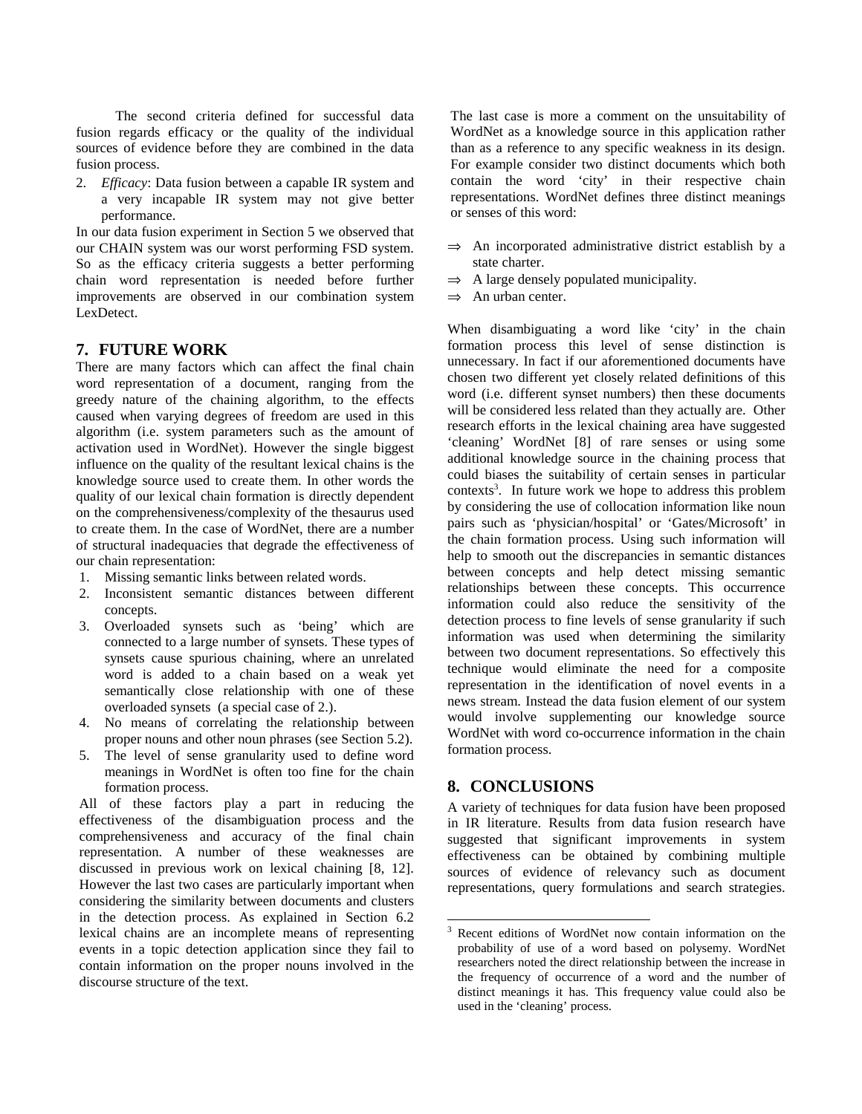The second criteria defined for successful data fusion regards efficacy or the quality of the individual sources of evidence before they are combined in the data fusion process.

2. *Efficacy*: Data fusion between a capable IR system and a very incapable IR system may not give better performance.

In our data fusion experiment in Section 5 we observed that our CHAIN system was our worst performing FSD system. So as the efficacy criteria suggests a better performing chain word representation is needed before further improvements are observed in our combination system LexDetect.

#### **7. FUTURE WORK**

There are many factors which can affect the final chain word representation of a document, ranging from the greedy nature of the chaining algorithm, to the effects caused when varying degrees of freedom are used in this algorithm (i.e. system parameters such as the amount of activation used in WordNet). However the single biggest influence on the quality of the resultant lexical chains is the knowledge source used to create them. In other words the quality of our lexical chain formation is directly dependent on the comprehensiveness/complexity of the thesaurus used to create them. In the case of WordNet, there are a number of structural inadequacies that degrade the effectiveness of our chain representation:

- 1. Missing semantic links between related words.
- 2. Inconsistent semantic distances between different concepts.
- 3. Overloaded synsets such as 'being' which are connected to a large number of synsets. These types of synsets cause spurious chaining, where an unrelated word is added to a chain based on a weak yet semantically close relationship with one of these overloaded synsets (a special case of 2.).
- 4. No means of correlating the relationship between proper nouns and other noun phrases (see Section 5.2).
- 5. The level of sense granularity used to define word meanings in WordNet is often too fine for the chain formation process.

All of these factors play a part in reducing the effectiveness of the disambiguation process and the comprehensiveness and accuracy of the final chain representation. A number of these weaknesses are discussed in previous work on lexical chaining [8, 12]. However the last two cases are particularly important when considering the similarity between documents and clusters in the detection process. As explained in Section 6.2 lexical chains are an incomplete means of representing events in a topic detection application since they fail to contain information on the proper nouns involved in the discourse structure of the text.

The last case is more a comment on the unsuitability of WordNet as a knowledge source in this application rather than as a reference to any specific weakness in its design. For example consider two distinct documents which both contain the word 'city' in their respective chain representations. WordNet defines three distinct meanings or senses of this word:

- ⇒ An incorporated administrative district establish by a state charter.
- $\Rightarrow$  A large densely populated municipality.
- $\Rightarrow$  An urban center.

When disambiguating a word like 'city' in the chain formation process this level of sense distinction is unnecessary. In fact if our aforementioned documents have chosen two different yet closely related definitions of this word (i.e. different synset numbers) then these documents will be considered less related than they actually are. Other research efforts in the lexical chaining area have suggested 'cleaning' WordNet [8] of rare senses or using some additional knowledge source in the chaining process that could biases the suitability of certain senses in particular contexts<sup>3</sup>. In future work we hope to address this problem by considering the use of collocation information like noun pairs such as 'physician/hospital' or 'Gates/Microsoft' in the chain formation process. Using such information will help to smooth out the discrepancies in semantic distances between concepts and help detect missing semantic relationships between these concepts. This occurrence information could also reduce the sensitivity of the detection process to fine levels of sense granularity if such information was used when determining the similarity between two document representations. So effectively this technique would eliminate the need for a composite representation in the identification of novel events in a news stream. Instead the data fusion element of our system would involve supplementing our knowledge source WordNet with word co-occurrence information in the chain formation process.

### **8. CONCLUSIONS**

 $\overline{a}$ 

A variety of techniques for data fusion have been proposed in IR literature. Results from data fusion research have suggested that significant improvements in system effectiveness can be obtained by combining multiple sources of evidence of relevancy such as document representations, query formulations and search strategies.

<sup>3</sup> Recent editions of WordNet now contain information on the probability of use of a word based on polysemy. WordNet researchers noted the direct relationship between the increase in the frequency of occurrence of a word and the number of distinct meanings it has. This frequency value could also be used in the 'cleaning' process.